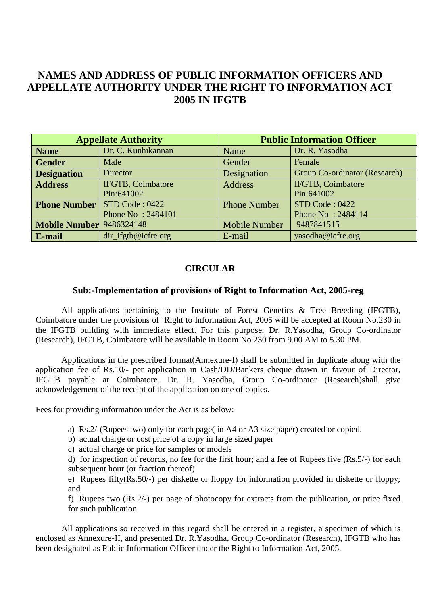## **NAMES AND ADDRESS OF PUBLIC INFORMATION OFFICERS AND APPELLATE AUTHORITY UNDER THE RIGHT TO INFORMATION ACT 2005 IN IFGTB**

| <b>Appellate Authority</b>      |                          | <b>Public Information Officer</b> |                                      |
|---------------------------------|--------------------------|-----------------------------------|--------------------------------------|
| <b>Name</b>                     | Dr. C. Kunhikannan       | Name                              | Dr. R. Yasodha                       |
| <b>Gender</b>                   | Male                     | Gender                            | Female                               |
| <b>Designation</b>              | Director                 | Designation                       | <b>Group Co-ordinator (Research)</b> |
| <b>Address</b>                  | <b>IFGTB, Coimbatore</b> | <b>Address</b>                    | <b>IFGTB, Coimbatore</b>             |
|                                 | Pin:641002               |                                   | Pin:641002                           |
| <b>Phone Number</b>             | STD Code: 0422           | <b>Phone Number</b>               | STD Code : 0422                      |
|                                 | Phone No: 2484101        |                                   | Phone No: 2484114                    |
| <b>Mobile Number</b> 9486324148 |                          | <b>Mobile Number</b>              | 9487841515                           |
| <b>E-mail</b>                   | $dir$ ifgtb@icfre.org    | E-mail                            | yasodha@icfre.org                    |

## **CIRCULAR**

## **Sub:-Implementation of provisions of Right to Information Act, 2005-reg**

All applications pertaining to the Institute of Forest Genetics & Tree Breeding (IFGTB), Coimbatore under the provisions of Right to Information Act, 2005 will be accepted at Room No.230 in the IFGTB building with immediate effect. For this purpose, Dr. R.Yasodha, Group Co-ordinator (Research), IFGTB, Coimbatore will be available in Room No.230 from 9.00 AM to 5.30 PM.

Applications in the prescribed format(Annexure-I) shall be submitted in duplicate along with the application fee of Rs.10/- per application in Cash/DD/Bankers cheque drawn in favour of Director, IFGTB payable at Coimbatore. Dr. R. Yasodha, Group Co-ordinator (Research)shall give acknowledgement of the receipt of the application on one of copies.

Fees for providing information under the Act is as below:

- a) Rs.2/-(Rupees two) only for each page( in A4 or A3 size paper) created or copied.
- b) actual charge or cost price of a copy in large sized paper
- c) actual charge or price for samples or models

d) for inspection of records, no fee for the first hour; and a fee of Rupees five (Rs.5/-) for each subsequent hour (or fraction thereof)

e) Rupees fifty(Rs.50/-) per diskette or floppy for information provided in diskette or floppy; and

f) Rupees two (Rs.2/-) per page of photocopy for extracts from the publication, or price fixed for such publication.

All applications so received in this regard shall be entered in a register, a specimen of which is enclosed as Annexure-II, and presented Dr. R.Yasodha, Group Co-ordinator (Research), IFGTB who has been designated as Public Information Officer under the Right to Information Act, 2005.